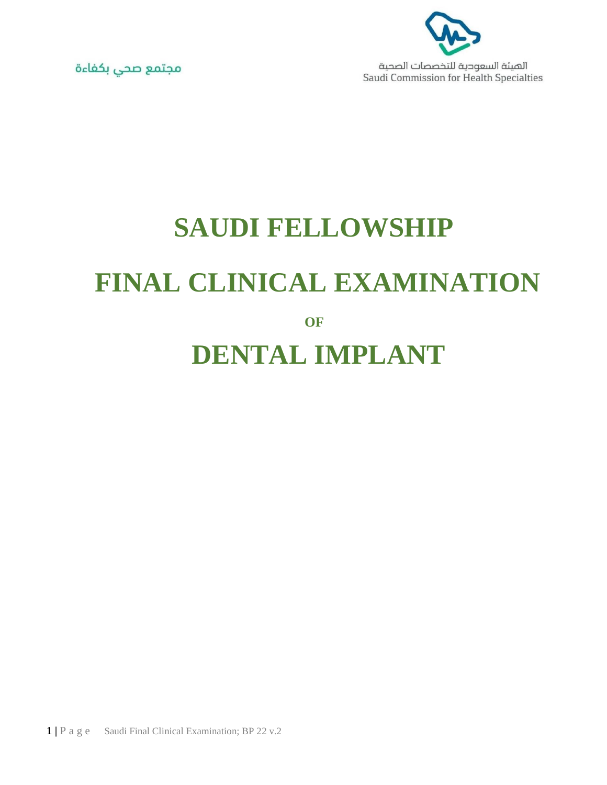

مجتمع صحي بكفاءة

## **SAUDI FELLOWSHIP FINAL CLINICAL EXAMINATION OF DENTAL IMPLANT**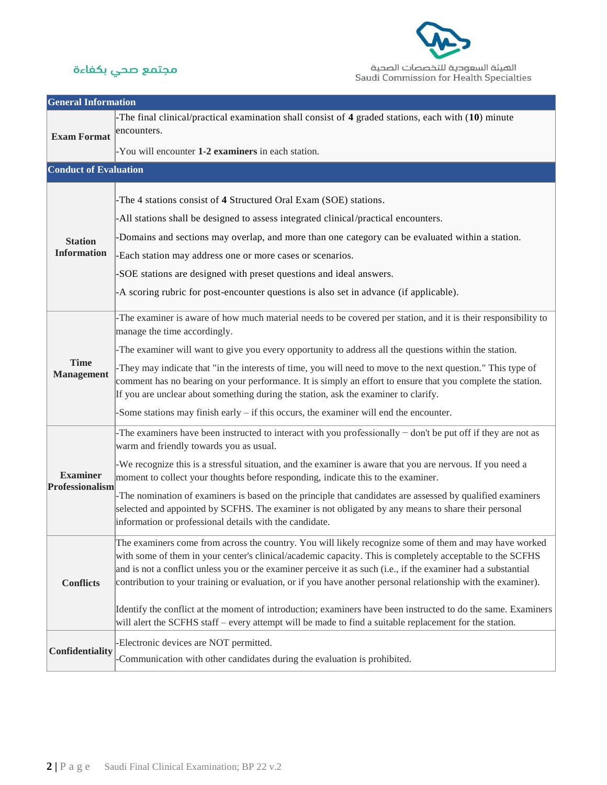

## مجتمع صحي بكفاءة

| <b>General Information</b>           |                                                                                                                                                                                                                                                                                                                                                                                                                                                       |  |  |
|--------------------------------------|-------------------------------------------------------------------------------------------------------------------------------------------------------------------------------------------------------------------------------------------------------------------------------------------------------------------------------------------------------------------------------------------------------------------------------------------------------|--|--|
| <b>Exam Format</b>                   | -The final clinical/practical examination shall consist of $4$ graded stations, each with $(10)$ minute                                                                                                                                                                                                                                                                                                                                               |  |  |
|                                      | encounters.                                                                                                                                                                                                                                                                                                                                                                                                                                           |  |  |
|                                      | -You will encounter 1-2 examiners in each station.                                                                                                                                                                                                                                                                                                                                                                                                    |  |  |
| <b>Conduct of Evaluation</b>         |                                                                                                                                                                                                                                                                                                                                                                                                                                                       |  |  |
| <b>Station</b><br><b>Information</b> |                                                                                                                                                                                                                                                                                                                                                                                                                                                       |  |  |
|                                      | -The 4 stations consist of 4 Structured Oral Exam (SOE) stations.                                                                                                                                                                                                                                                                                                                                                                                     |  |  |
|                                      | -All stations shall be designed to assess integrated clinical/practical encounters.                                                                                                                                                                                                                                                                                                                                                                   |  |  |
|                                      | Domains and sections may overlap, and more than one category can be evaluated within a station.                                                                                                                                                                                                                                                                                                                                                       |  |  |
|                                      | Each station may address one or more cases or scenarios.                                                                                                                                                                                                                                                                                                                                                                                              |  |  |
|                                      | -SOE stations are designed with preset questions and ideal answers.                                                                                                                                                                                                                                                                                                                                                                                   |  |  |
|                                      | A scoring rubric for post-encounter questions is also set in advance (if applicable).                                                                                                                                                                                                                                                                                                                                                                 |  |  |
| <b>Time</b><br><b>Management</b>     | -The examiner is aware of how much material needs to be covered per station, and it is their responsibility to<br>manage the time accordingly.                                                                                                                                                                                                                                                                                                        |  |  |
|                                      | -The examiner will want to give you every opportunity to address all the questions within the station.                                                                                                                                                                                                                                                                                                                                                |  |  |
|                                      | -They may indicate that "in the interests of time, you will need to move to the next question." This type of<br>comment has no bearing on your performance. It is simply an effort to ensure that you complete the station.<br>If you are unclear about something during the station, ask the examiner to clarify.                                                                                                                                    |  |  |
|                                      | Some stations may finish early $-$ if this occurs, the examiner will end the encounter.                                                                                                                                                                                                                                                                                                                                                               |  |  |
| <b>Examiner</b><br>Professionalism   | -The examiners have been instructed to interact with you professionally $-$ don't be put off if they are not as<br>warm and friendly towards you as usual.                                                                                                                                                                                                                                                                                            |  |  |
|                                      | -We recognize this is a stressful situation, and the examiner is aware that you are nervous. If you need a<br>moment to collect your thoughts before responding, indicate this to the examiner.                                                                                                                                                                                                                                                       |  |  |
|                                      | The nomination of examiners is based on the principle that candidates are assessed by qualified examiners<br>selected and appointed by SCFHS. The examiner is not obligated by any means to share their personal<br>information or professional details with the candidate.                                                                                                                                                                           |  |  |
| <b>Conflicts</b>                     | The examiners come from across the country. You will likely recognize some of them and may have worked<br>with some of them in your center's clinical/academic capacity. This is completely acceptable to the SCFHS<br>and is not a conflict unless you or the examiner perceive it as such (i.e., if the examiner had a substantial<br>contribution to your training or evaluation, or if you have another personal relationship with the examiner). |  |  |
|                                      | Identify the conflict at the moment of introduction; examiners have been instructed to do the same. Examiners<br>will alert the SCFHS staff – every attempt will be made to find a suitable replacement for the station.                                                                                                                                                                                                                              |  |  |
| Confidentiality                      | Electronic devices are NOT permitted.                                                                                                                                                                                                                                                                                                                                                                                                                 |  |  |
|                                      | Communication with other candidates during the evaluation is prohibited.                                                                                                                                                                                                                                                                                                                                                                              |  |  |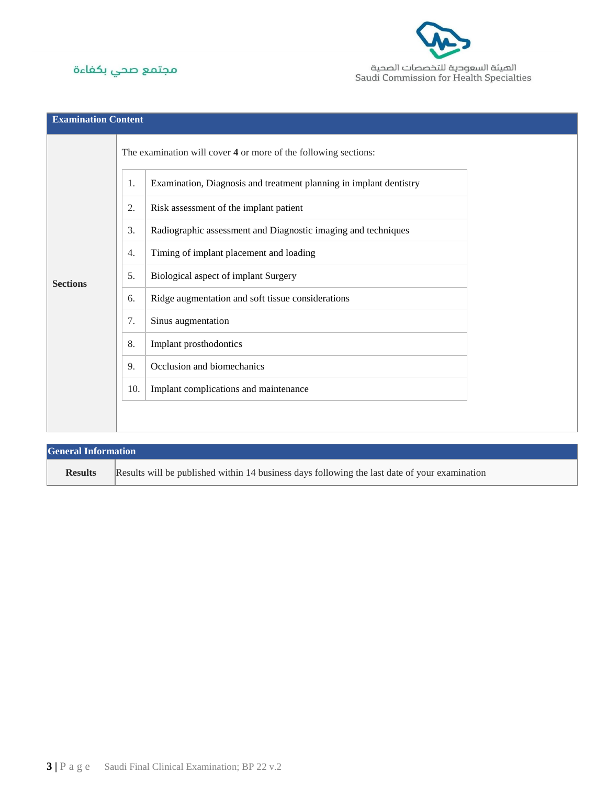



| <b>General Information</b> |                                                                                               |  |
|----------------------------|-----------------------------------------------------------------------------------------------|--|
| <b>Results</b>             | Results will be published within 14 business days following the last date of your examination |  |